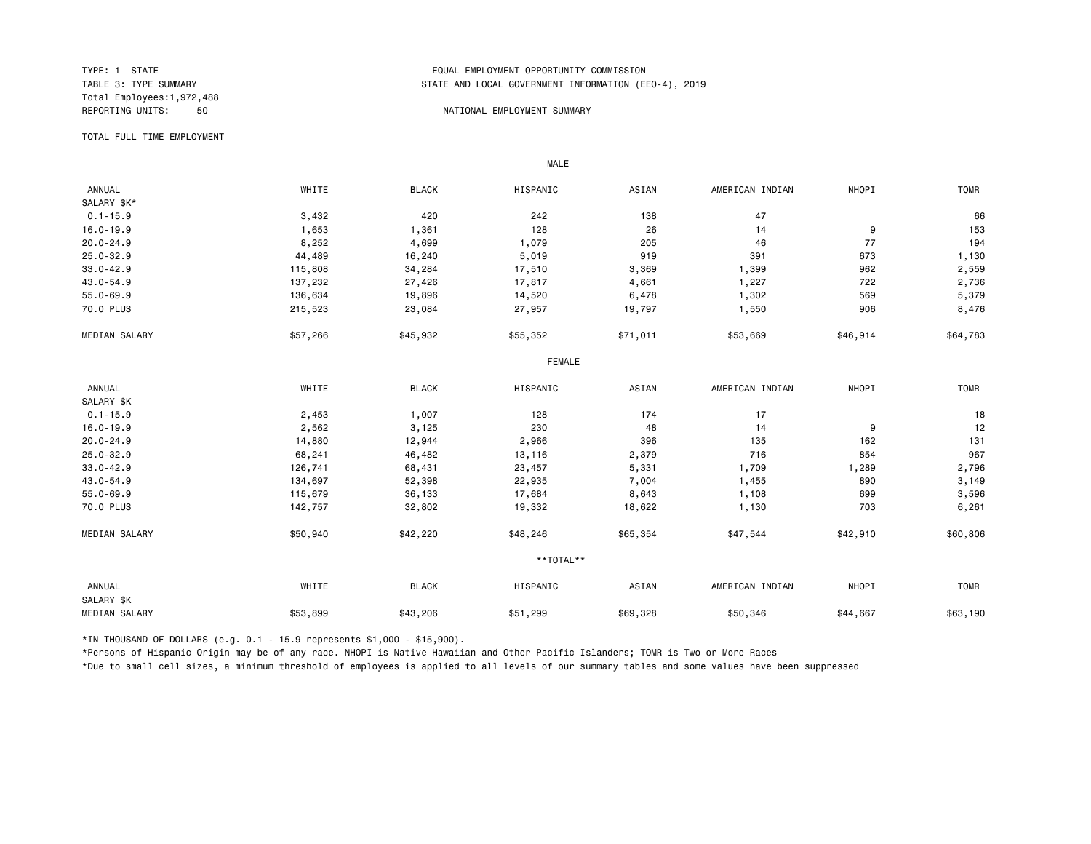Total Employees:1,972,488

## TYPE: 1 STATE<br>TABLE 3: TYPE SUMMARY TABLE AND LOCAL GOVERNMENT INFORMATION (EDUAL TABLE 3: TYPE SUMMARY STATE AND LOCAL GOVERNMENT INFORMATION (EEO-4), 2019

#### 50 NATIONAL EMPLOYMENT SUMMARY

TOTAL FULL TIME EMPLOYMENT

 ANNUAL WHITE BLACK HISPANIC ASIAN AMERICAN INDIAN NHOPI TOMR SALARY \$K\*<br>0.1-15.9 0.1-15.9 3,432 420 242 138 47 66 16.0-19.9 1,653 1,361 128 26 14 9 153 20.0-24.9 8,252 4,699 1,079 205 46 77 194 25.0-32.9 44,489 16,240 5,019 919 391 673 1,130 33.0-42.9 115,808 34,284 17,510 3,369 962 2,559 43.0-54.9 137,232 27,426 17,817 4,661 1,227 722 2,736 55.0-69.9 136,634 19,896 14,520 6,478 1,302 569 5,379 70.0 PLUS 215,523 23,084 27,957 19,797 1,550 906 8,476 MEDIAN SALARY \$57,266 \$45,932 \$55,352 \$57,011 \$53,669 \$64,183 \$64,783 FEMALE **FRAME**  ANNUAL WHITE BLACK HISPANIC ASIAN AMERICAN INDIAN NHOPI TOMR SALARY \$K<br>0.1-15.9 0.1-15.9 2,453 1,007 128 174 17 18 16.0-19.9 2,562 3,125 230 48 14 9 12 20.0-24.9 14,880 12,944 2,966 396 135 162 131 25.0-32.9 68,241 46,482 13,116 2,379 716 854 967 33.0-42.9 126,741 68,431 23,457 5,331 1,709 1,289 2,796 43.0-54.9 134,697 52,398 22,935 7,004 1,455 890 3,149 55.0-69.9 115,679 36,133 17,684 8,643 1,108 699 3,596 70.0 PLUS 142,757 32,802 19,332 18,622 1,130 703 6,261 MEDIAN SALARY \$50,940 \$42,220 \$48,246 \$65,354 \$47,544 \$42,910 \$60,806 \*\*TOTAL\*\* ANNUAL WHITE BLACK HISPANIC ASIAN AMERICAN INDIAN NHOPI TOMR SALARY \$K 06DIAN SALARY \$53,899 \$43,206 \$50,328 \$50,346 \$44,667 \$63,190

\*IN THOUSAND OF DOLLARS (e.g. 0.1 - 15.9 represents \$1,000 - \$15,900).

MALE

\*Persons of Hispanic Origin may be of any race. NHOPI is Native Hawaiian and Other Pacific Islanders; TOMR is Two or More Races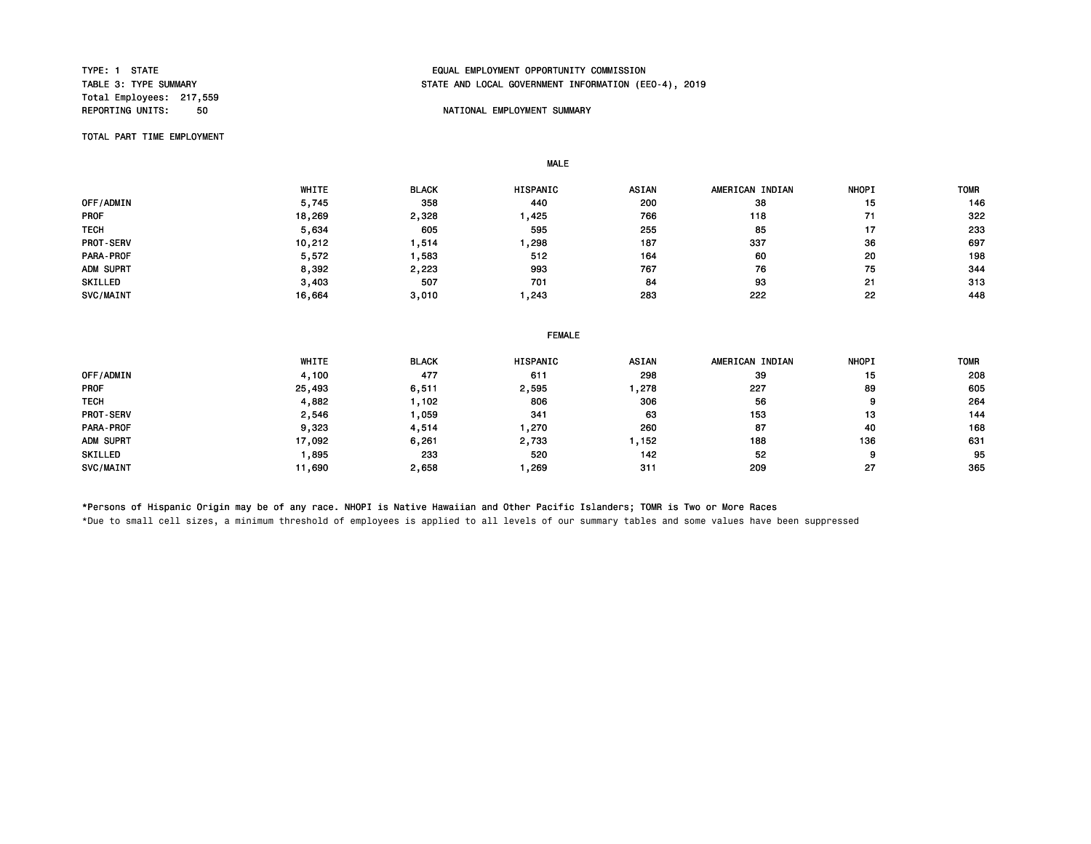Total Employees: 217,559

# TYPE: 1 STATE<br>TABLE 3: TYPE SUMMARY TABLE AND LOCAL GOVERNMENT INFORMATION (EDUAL EMPLOYMENT OPPORTUNITY COMMISSION STATE AND LOCAL GOVERNMENT INFORMATION (EEO-4), 2019

## **REPORT IN THE PORTIONAL EMPLOYMENT SUMMARY**

TOTAL PART TIME EMPLOYMENT

 WHITE BLACK HISPANIC ASIAN AMERICAN INDIAN NHOPI TOMR 0FF/ADMIN 5,745 358 440 200 38 15 146 PROF 18,269 2,328 1,425 766 118 71 322 TECH 5,634 605 595 255 85 17 233 PROT-SERV 10,212 1,514 1,298 187 337 36 697 PARA-PROF 5,572 1,583 512 164 60 20 198 ADM SUPRT 8,392 2,223 993 767 76 75 344 SKILLED 3,403 507 701 84 93 21 313 SVC/MAINT 16,664 3,010 1,243 283 222 22 448

#### FEMALE

|                | WHITE  | <b>BLACK</b> | HISPANIC | <b>ASIAN</b> | AMERICAN INDIAN | <b>NHOPI</b> | <b>TOMR</b> |
|----------------|--------|--------------|----------|--------------|-----------------|--------------|-------------|
| OFF/ADMIN      | 4,100  | 477          | 611      | 298          | 39              | 15           | 208         |
| <b>PROF</b>    | 25,493 | 6,511        | 2,595    | ,278         | 227             | 89           | 605         |
| <b>TECH</b>    | 4,882  | , 102        | 806      | 306          | 56              | 9            | 264         |
| PROT-SERV      | 2,546  | .059         | 341      | 63           | 153             | 13           | 144         |
| PARA-PROF      | 9,323  | 4,514        | .270     | 260          | 87              | 40           | 168         |
| ADM SUPRT      | 17,092 | 6,261        | 2,733    | , 152        | 188             | 136          | 631         |
| <b>SKILLED</b> | 895,   | 233          | 520      | 142          | 52              | 9            | 95          |
| SVC/MAINT      | 11,690 | 2,658        | ,269     | 311          | 209             | 27           | 365         |

\*Persons of Hispanic Origin may be of any race. NHOPI is Native Hawaiian and Other Pacific Islanders; TOMR is Two or More Races

MALE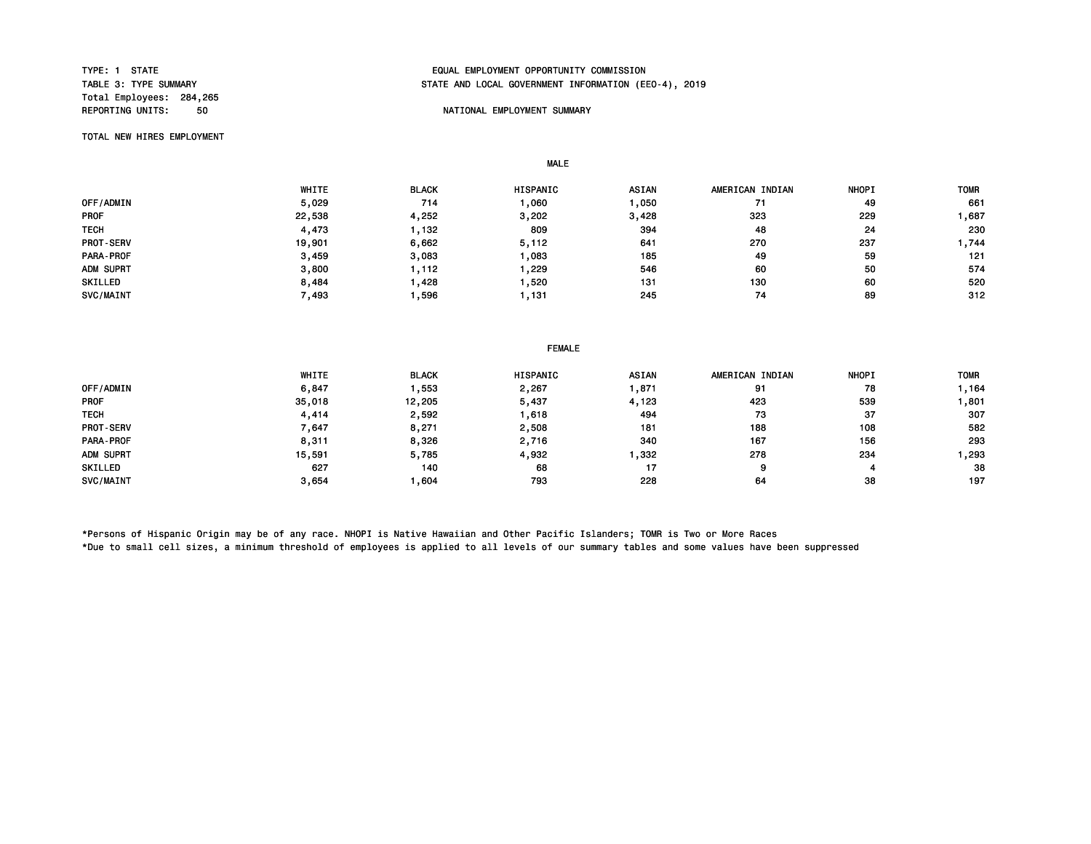Total Employees: 284,265

# TYPE: 1 STATE<br>TABLE 3: TYPE SUMMARY TABLE AND LOCAL GOVERNMENT INFORMATION (EDUAL EMPLOYMENT OPPORTUNITY COMMISSION STATE AND LOCAL GOVERNMENT INFORMATION (EEO-4), 2019

### **REPORT IN THE SUMMARY SUMMARY SUMMARY NATIONAL EMPLOYMENT SUMMARY**

TOTAL NEW HIRES EMPLOYMENT

MALE

 WHITE BLACK HISPANIC ASIAN AMERICAN INDIAN NHOPI TOMR 0FF/ADMIN 5,029 714 1,060 1,050 71 49 661 PROF 22,538 4,252 3,202 3,428 323 229 1,687 TECH 4,473 1,132 809 394 48 24 230 PROT-SERV 19,901 6,662 5,112 641 270 237 1,744 PARA-PROF 3,459 3,083 1,083 185 49 59 121 ADM SUPRT 3,800 1,112 1,229 546 60 50 574 SKILLED 8,484 1,428 1,520 131 130 60 520 SVC/MAINT 7,493 1,596 1,131 245 74 89 312

|  | FEMALE |
|--|--------|
|  |        |

|                  | WHITE  | <b>BLACK</b> | <b>HISPANIC</b> | <b>ASIAN</b> | AMERICAN INDIAN | <b>NHOPI</b> | <b>TOMR</b> |
|------------------|--------|--------------|-----------------|--------------|-----------------|--------------|-------------|
| OFF/ADMIN        | 6,847  | ∣.553        | 2,267           | ,871         | 91              | 78           | 164, ا      |
| <b>PROF</b>      | 35,018 | 12,205       | 5,437           | 4,123        | 423             | 539          | , 801       |
| <b>TECH</b>      | 4.414  | 2,592        | .618            | 494          | 73              | 37           | 307         |
| <b>PROT-SERV</b> | / 647  | 8,271        | 2,508           | 181          | 188             | 108          | 582         |
| PARA-PROF        | 8,311  | 8,326        | 2,716           | 340          | 167             | 156          | 293         |
| ADM SUPRT        | 15,591 | 5,785        | 4,932           | ,332         | 278             | 234          | 293, ا      |
| SKILLED          | 627    | 140          | 68              | 17           | 9               |              | 38          |
| SVC/MAINT        | 3.654  | .604         | 793             | 228          | 64              | 38           | 197         |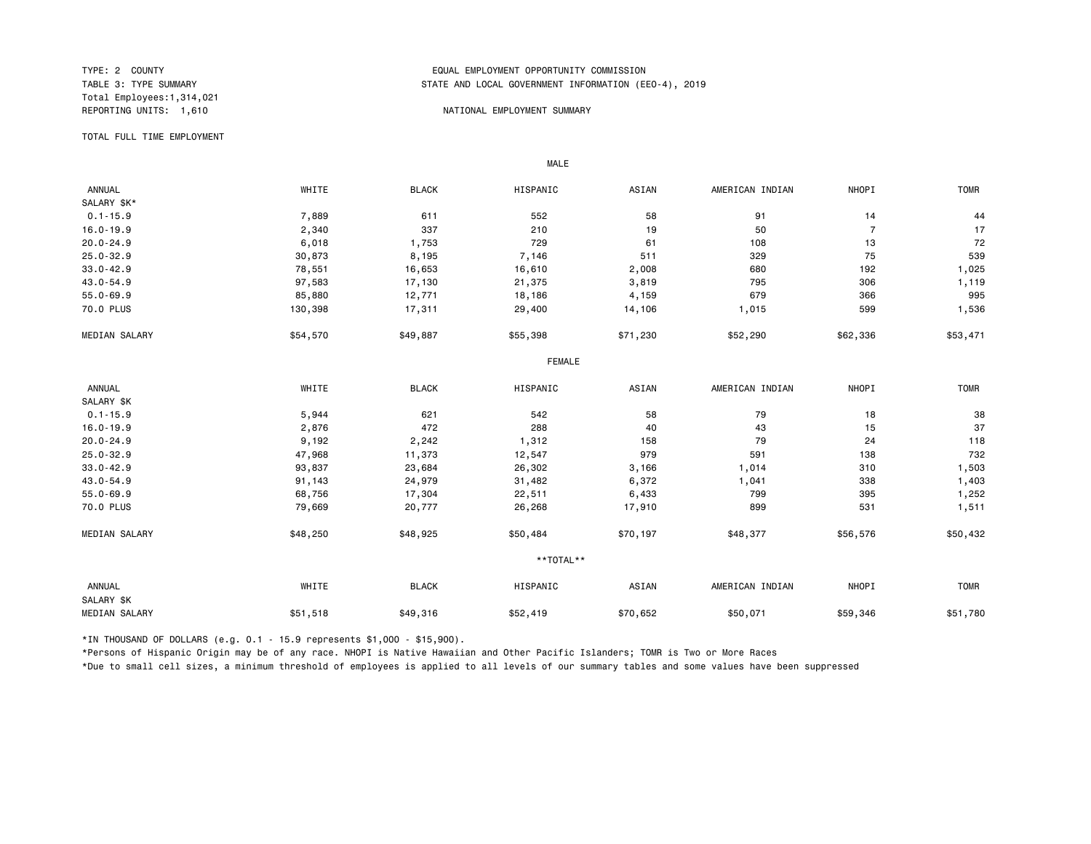Total Employees:1,314,021

## TYPE: 2 COUNTY<br>TABLE 3: TYPE SUMMARY TABLE AND LOCAL GOVERNMENT INFORMATION (EDUAL TABLE 3: TYPE SUMMARY STATE AND LOCAL GOVERNMENT INFORMATION (EEO-4), 2019

#### NATIONAL EMPLOYMENT SUMMARY

TOTAL FULL TIME EMPLOYMENT

 ANNUAL WHITE BLACK HISPANIC ASIAN AMERICAN INDIAN NHOPI TOMR SALARY \$K\*<br>0.1-15.9  $0.1$ -15.9 611 552 58 91 14 44 44 44 44 552 58 91 552 58 91 14 512 44 16.0-19.9 2,340 337 210 19 50 7 17 20.0-24.9 6,018 1,753 729 61 108 13 72 25.0-32.9 30,873 8,195 7,146 511 329 75 539 33.0-42.9 78,551 16,653 16,610 680 192 1,025 43.0-54.9 97,583 17,130 21,375 3,819 795 306 1,119 55.0-69.9 85,880 12,771 18,186 4,159 679 366 995 70.0 PLUS 130,398 17,311 29,400 14,106 1,015 599 1,536 MEDIAN SALARY \$54,570 \$49,887 \$55,398 \$71,230 \$52,290 \$62,336 \$53,471 FEMALE **FRAME**  ANNUAL WHITE BLACK HISPANIC ASIAN AMERICAN INDIAN NHOPI TOMR SALARY \$K<br>0.1-15.9  $0.1$ -15.9 638 5,944 621 542 542 58 79 518 518 518 58 16.0-19.9 2,876 472 288 40 43 15 37 20.0-24.9 9,192 2,242 1,312 158 79 24 118 25.0-32.9 47,968 11,373 12,547 979 591 138 732 33.0-42.9 93,837 23,684 26,302 3,166 1,014 310 1,503 43.0-54.9 91,143 24,979 31,482 6,372 1,041 338 1,403 55.0-69.9 68,756 17,304 22,511 6,433 799 395 1,252 70.0 PLUS 79,669 20,777 26,268 17,910 899 531 1,511 MEDIAN SALARY \$48,250 \$48,925 \$50,484 \$70,197 \$48,377 \$56,576 \$50,432 \*\*TOTAL\*\* ANNUAL WHITE BLACK HISPANIC ASIAN AMERICAN INDIAN NHOPI TOMR SALARY \$K MEDIAN SALARY \$51,518 \$49,316 \$52,419 \$50,071 \$59,346 \$51,780

\*IN THOUSAND OF DOLLARS (e.g. 0.1 - 15.9 represents \$1,000 - \$15,900).

MALE

\*Persons of Hispanic Origin may be of any race. NHOPI is Native Hawaiian and Other Pacific Islanders; TOMR is Two or More Races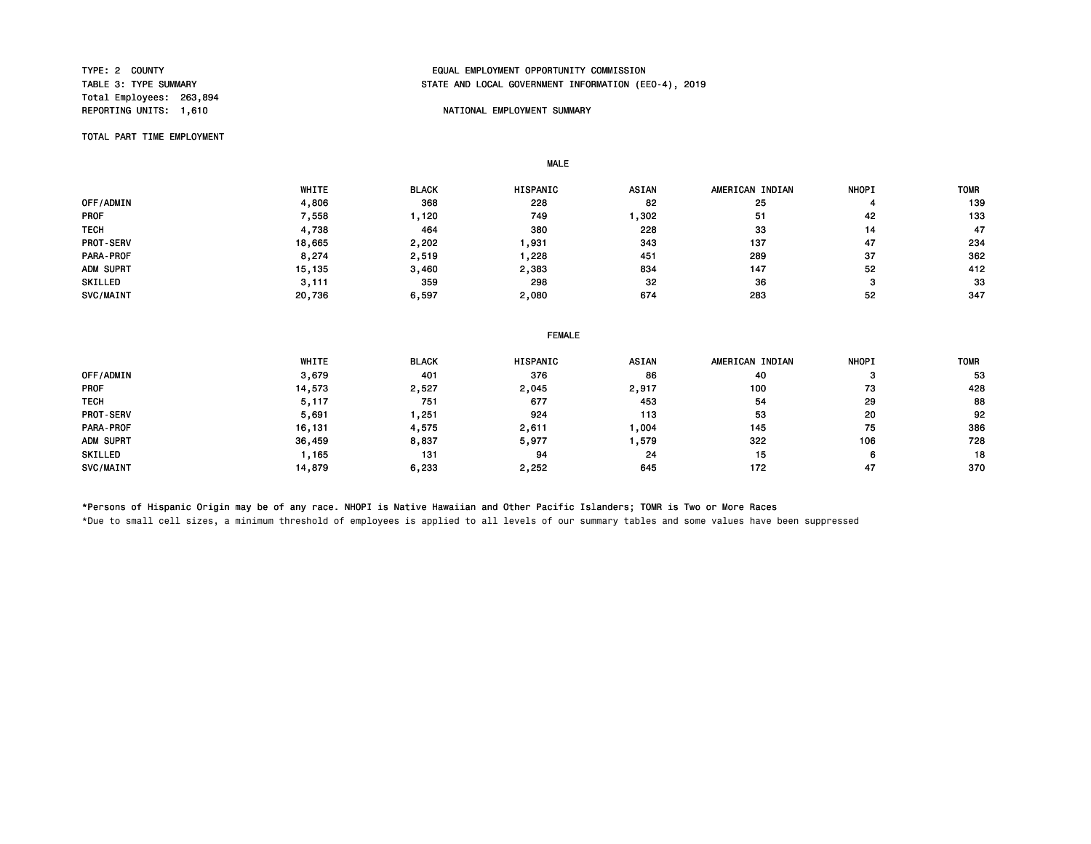Total Employees: 263,894 REPORTING UNITS: 1,610 NATIONAL EMPLOYMENT SUMMARY

# TYPE: 2 COUNTY<br>TABLE 3: TYPE SUMMARY TABLE ON TABLE AND LOCAL GOVERNMENT INFORMATION (EDUAL TABLE 3: TYPE SUMMARY STATE AND LOCAL GOVERNMENT INFORMATION (EEO-4), 2019

TOTAL PART TIME EMPLOYMENT

 WHITE BLACK HISPANIC ASIAN AMERICAN INDIAN NHOPI TOMR OFF/ADMIN 4,806 368 228 82 25 4 139 PROF 7,558 1,120 749 1,302 51 42 133 TECH 4,738 464 380 228 33 14 47 PROT-SERV 18,665 2,202 1,931 343 137 47 234 PARA-PROF 8,274 2,519 1,228 451 289 37 362 ADM SUPRT 15,135 3,460 2,383 834 147 52 412 SKILLED 3,111 359 298 32 36 3 33 SVC/MAINT 20,736 6,597 2,080 674 283 52 347

#### FEMALE

|                  | WHITE  | <b>BLACK</b> | <b>HISPANIC</b> | <b>ASIAN</b> | AMERICAN INDIAN | <b>NHOPI</b> | <b>TOMF</b> |
|------------------|--------|--------------|-----------------|--------------|-----------------|--------------|-------------|
| OFF/ADMIN        | 3,679  | 401          | 376             | 86           | 40              | з            | 53          |
| <b>PROF</b>      | 14,573 | 2,527        | 2,045           | 2,917        | 100             | 73           | 428         |
| <b>TECH</b>      | 5,117  | 751          | 677             | 453          | 54              | 29           | 88          |
| <b>PROT-SERV</b> | 5,691  | . 251        | 924             | 113          | 53              | 20           | 92          |
| <b>PARA-PROF</b> | 16,131 | 4,575        | 2,611           | ,004         | 145             | 75           | 386         |
| ADM SUPRT        | 36,459 | 8,837        | 5,977           | ,579         | 322             | 106          | 728         |
| <b>SKILLED</b>   | 165.   | 131          | 94              | 24           | 15              | 6            | 18          |
| SVC/MAINT        | 14,879 | 6,233        | 2,252           | 645          | 172             | 47           | 370         |

\*Persons of Hispanic Origin may be of any race. NHOPI is Native Hawaiian and Other Pacific Islanders; TOMR is Two or More Races

MALE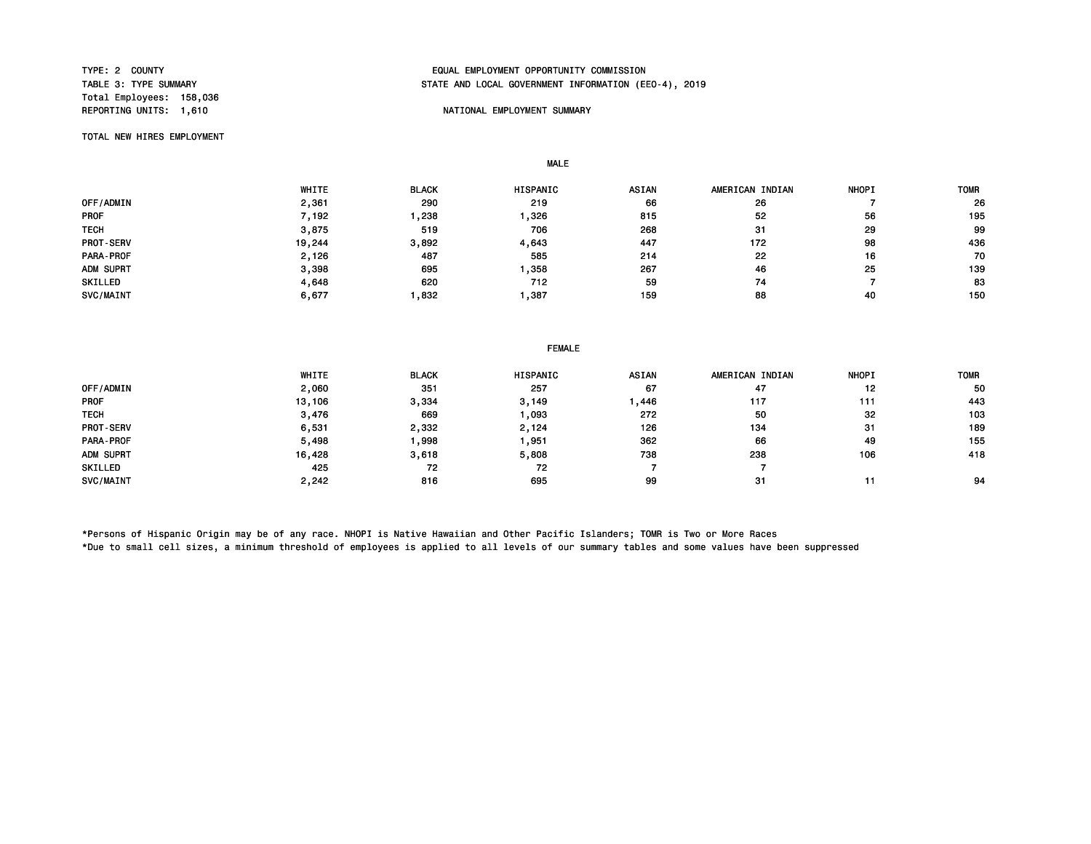Total Employees: 158,036 REPORTING UNITS: 1,610 NATIONAL EMPLOYMENT SUMMARY

# TYPE: 2 COUNTY<br>TABLE 3: TYPE SUMMARY TABLE ON TABLE AND LOCAL GOVERNMENT INFORMATION (EE STATE AND LOCAL GOVERNMENT INFORMATION (EEO-4), 2019

TOTAL NEW HIRES EMPLOYMENT

MALE

|                  | WHITE             | <b>BLACK</b> | HISPANIC | <b>ASIAN</b> | AMERICAN INDIAN | <b>NHOPI</b> | <b>TOMR</b> |
|------------------|-------------------|--------------|----------|--------------|-----------------|--------------|-------------|
| OFF/ADMIN        | 2,361             | 290          | 219      | 66           | 26              |              | 26          |
| <b>PROF</b>      | $^{\prime}$ , 192 | ,238         | ,326     | 815          | 52              | 56           | 195         |
| <b>TECH</b>      | 3,875             | 519          | 706      | 268          | 31              | 29           | 99          |
| <b>PROT-SERV</b> | 19,244            | 3,892        | 4,643    | 447          | 172             | 98           | 436         |
| PARA-PROF        | 2,126             | 487          | 585      | 214          | 22              | 16           | 70          |
| ADM SUPRT        | 3,398             | 695          | ,358     | 267          | 46              | 25           | 139         |
| SKILLED          | 4,648             | 620          | 712      | 59           | 74              |              | 83          |
| SVC/MAINT        | 6,677             | ,832         | .387     | 159          | 88              | 40           | 150         |

| <b>FEMALE</b> |  |
|---------------|--|
|---------------|--|

|             | WHITE  | <b>BLACK</b> | <b>HISPANIC</b> | <b>ASIAN</b> | AMERICAN INDIAN | <b>NHOPI</b> | <b>TOMR</b> |
|-------------|--------|--------------|-----------------|--------------|-----------------|--------------|-------------|
| OFF/ADMIN   | 2,060  | 351          | 257             | 67           | 47              | 12           | 50          |
| <b>PROF</b> | 13,106 | 3,334        | 3,149           | ,446         | 117             | 111          | 443         |
| <b>TECH</b> | 3,476  | 669          | ,093            | 272          | 50              | 32           | 103         |
| PROT-SERV   | 6,531  | 2,332        | 2,124           | 126          | 134             | -31          | 189         |
| PARA-PROF   | 5,498  | 998,         | ,951            | 362          | 66              | 49           | 155         |
| ADM SUPRT   | 16,428 | 3,618        | 5,808           | 738          | 238             | 106          | 418         |
| SKILLED     | 425    | 72           | 72              |              |                 |              |             |
| SVC/MAINT   | 2,242  | 816          | 695             | 99           | 31              |              | 94          |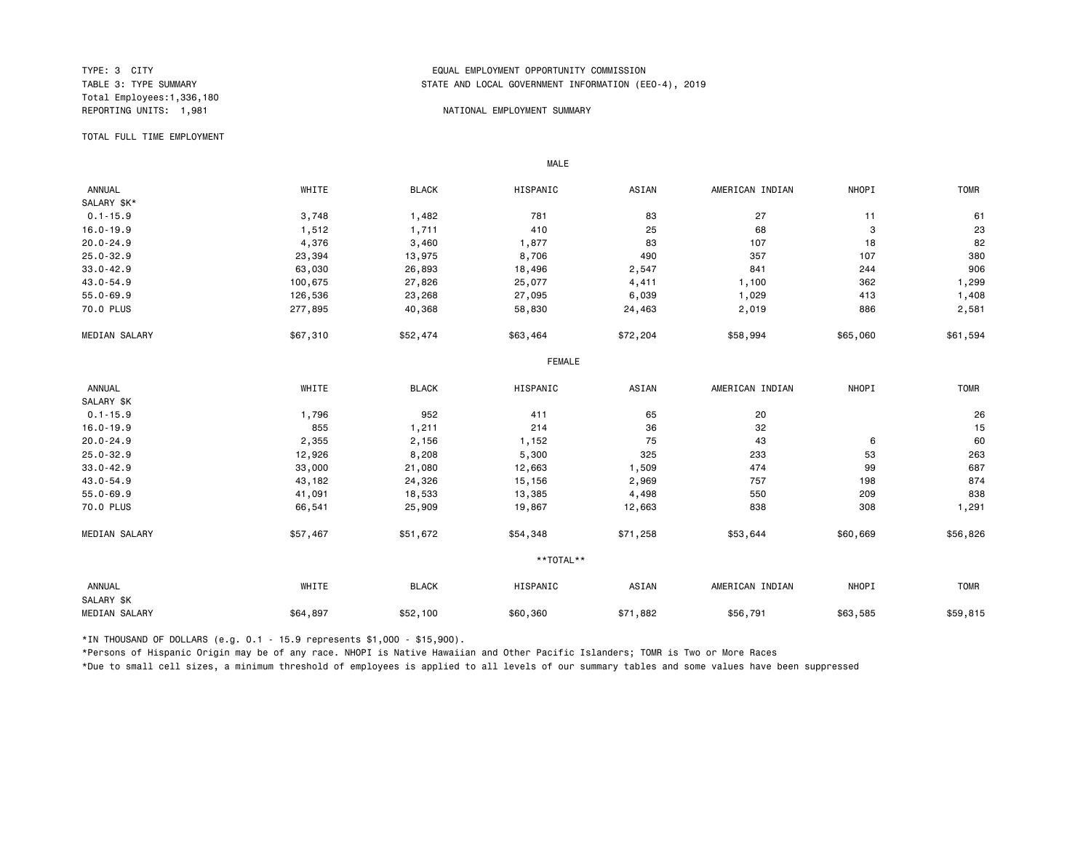Total Employees:1,336,180

## TYPE: 3 CITY<br>TABLE 3: TYPE SUMMARY TABLE AND LOCAL GOVERNMENT INFORMATION (EDUAL TABLE 3: TYPE SUMMARY STATE AND LOCAL GOVERNMENT INFORMATION (EEO-4), 2019

### REPORTING UNITS: 1,981 NATIONAL EMPLOYMENT SUMMARY

TOTAL FULL TIME EMPLOYMENT

 ANNUAL WHITE BLACK HISPANIC ASIAN AMERICAN INDIAN NHOPI TOMR SALARY \$K\*<br>0.1-15.9 0.1-15.9 3,748 1,482 781 83 27 11 61 16.0-19.9 1,512 1,711 410 25 68 3 23 20.0-24.9 4,376 3,460 1,877 83 107 18 82 25.0-32.9 23,394 13,975 8,706 490 357 107 380 33.0-42.9 63,030 26,893 18,496 2,547 841 244 906 43.0-54.9 100,675 27,826 25,077 4,411 1,100 362 1,299 55.0-69.9 126,536 23,268 27,095 6,039 1,029 413 1,408 70.0 PLUS 277,895 40,368 58,830 24,463 2,019 886 2,581 MEDIAN SALARY \$57,310 \$52,474 \$63,464 \$72,204 \$58,994 \$55,060 \$61,594 FEMALE **FRAME**  ANNUAL WHITE BLACK HISPANIC ASIAN AMERICAN INDIAN NHOPI TOMR SALARY \$K<br>0.1-15.9 0.1-15.9 1,796 952 411 65 20 26 16.0-19.9 855 1,211 214 36 32 15 20.0-24.9 2,355 2,156 1,152 75 43 6 60 25.0-32.9 12,926 8,208 5,300 325 233 53 263 33.0-42.9 33,000 21,080 12,663 1,509 474 99 687 43.0-54.9 43,182 24,326 15,156 2,969 757 198 874 55.0-69.9 41,091 18,533 13,385 4,498 550 209 838 70.0 PLUS 66,541 25,909 19,867 12,663 838 308 1,291 MEDIAN SALARY \$57,467 \$51,672 \$54,348 \$71,258 \$53,644 \$60,669 \$56,826 \*\*TOTAL\*\* ANNUAL WHITE BLACK HISPANIC ASIAN AMERICAN INDIAN NHOPI TOMR SALARY \$K MEDIAN SALARY \$64,897 \$52,100 \$60,360 \$71,882 \$56,791 \$63,585 \$59,815

\*IN THOUSAND OF DOLLARS (e.g. 0.1 - 15.9 represents \$1,000 - \$15,900).

MALE

\*Persons of Hispanic Origin may be of any race. NHOPI is Native Hawaiian and Other Pacific Islanders; TOMR is Two or More Races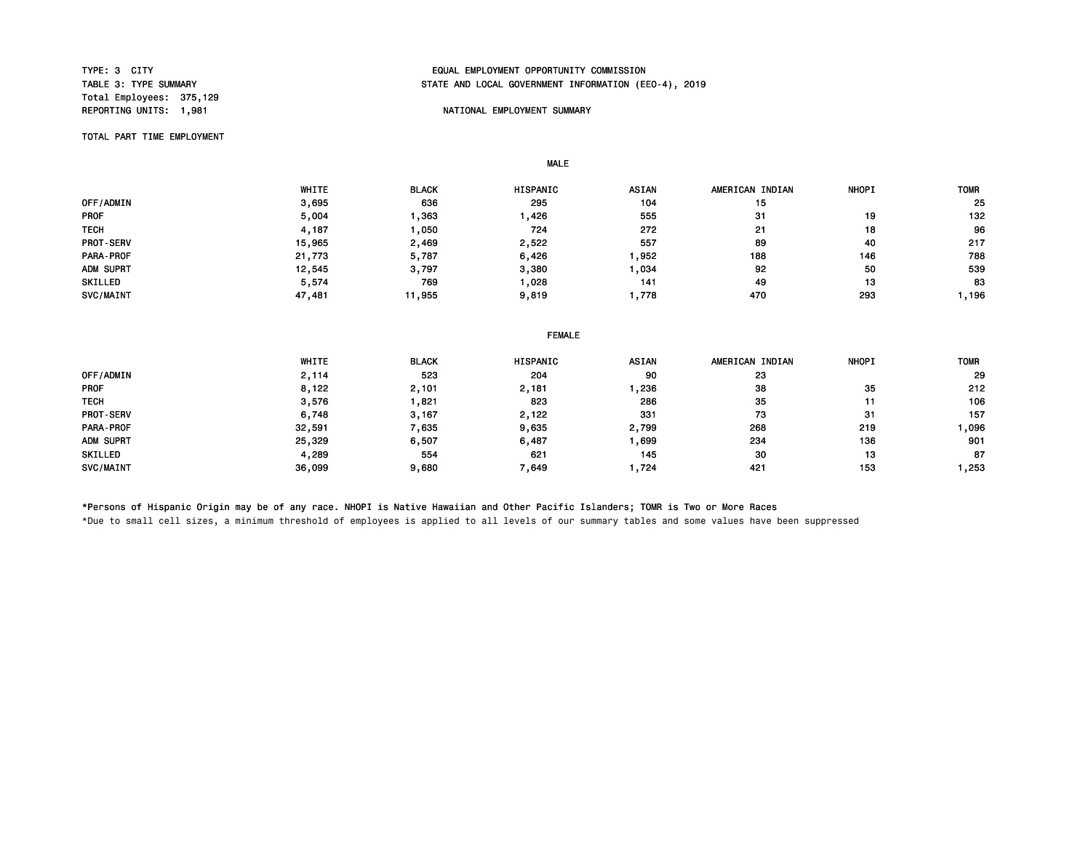Total Employees: 375,129

# TYPE: 3 CITY<br>TABLE 3: TYPE SUMMARY TABLE ON TABLE AND LOCAL GOVERNMENT INFORMATION (EDUAL TABLE 3: TYPE SUMMARY STATE AND LOCAL GOVERNMENT INFORMATION (EEO-4), 2019

## REPORTING UNITS: 1,981 NATIONAL EMPLOYMENT SUMMARY

TOTAL PART TIME EMPLOYMENT

 WHITE BLACK HISPANIC ASIAN AMERICAN INDIAN NHOPI TOMR 0FF/ADMIN 3,695 636 295 104 15 25 PROF 5,004 1,363 1,426 555 31 19 132 TECH 4,187 1,050 272 21 18 96 PROT-SERV 15,965 2,469 2,522 557 89 40 217 PARA-PROF 21,773 5,787 6,426 1,952 188 146 788 ADM SUPRT 12,545 3,797 3,380 1,034 92 50 539 SKILLED 5,574 769 1,028 141 49 13 83 SVC/MAINT 47,481 11,955 9,819 1,778 470 293 1,196

#### FEMALE

|                  | WHITE  | <b>BLACK</b> | HISPANIC | <b>ASIAN</b> | AMERICAN INDIAN | <b>NHOPI</b> | <b>TOMR</b> |
|------------------|--------|--------------|----------|--------------|-----------------|--------------|-------------|
| OFF/ADMIN        | 2,114  | 523          | 204      | 90           | 23              |              | 29          |
| <b>PROF</b>      | 8,122  | 2,101        | 2,181    | ,236         | 38              | 35           | 212         |
| <b>TECH</b>      | 3,576  | ,821         | 823      | 286          | 35              | 11           | 106         |
| <b>PROT-SERV</b> | 6,748  | 3,167        | 2,122    | 331          | 73              | 31           | 157         |
| PARA-PROF        | 32,591 | 7,635        | 9,635    | 2,799        | 268             | 219          | 1,096       |
| ADM SUPRT        | 25,329 | 6,507        | 6,487    | ,699         | 234             | 136          | 901         |
| SKILLED          | 4,289  | 554          | 621      | 145          | 30              | 13           | 87          |
| SVC/MAINT        | 36,099 | 9,680        | 7,649    | 724. ا       | 421             | 153          | 1,253       |

\*Persons of Hispanic Origin may be of any race. NHOPI is Native Hawaiian and Other Pacific Islanders; TOMR is Two or More Races

MALE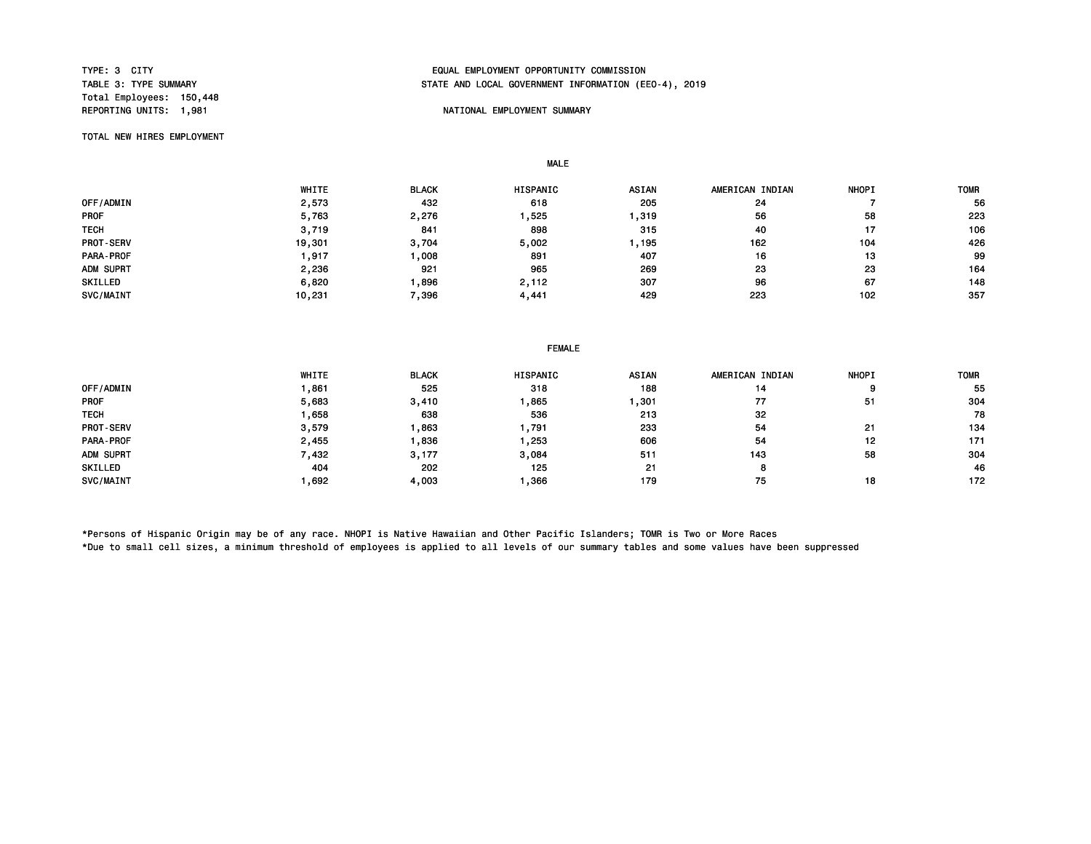Total Employees: 150,448

# TYPE: 3 CITY<br>TABLE 3: TYPE SUMMARY TABLE ON TABLE AND LOCAL GOVERNMENT INFORMATION (EDUAL TABLE 3: TYPE SUMMARY STATE AND LOCAL GOVERNMENT INFORMATION (EEO-4), 2019

## REPORTING UNITS: 1,981 NATIONAL EMPLOYMENT SUMMARY

TOTAL NEW HIRES EMPLOYMENT

MALE

 WHITE BLACK HISPANIC ASIAN AMERICAN INDIAN NHOPI TOMR 0FF/ADMIN 2,573 432 618 205 24 7 56 PROF 5,763 2,276 1,525 1,319 56 58 223 TECH 3,719 841 898 315 40 17 106 PROT-SERV 19,301 3,704 5,002 1,195 162 104 426 PARA-PROF 1,917 1,008 891 407 16 13 99 ADM SUPRT 2,236 921 965 269 23 23 164 SKILLED 6,820 1,896 2,112 307 96 67 148 SVC/MAINT 10,231 7,396 4,441 429 223 102 357

|             | WHITE | <b>BLACK</b> | HISPANIC | <b>ASIAN</b> | AMERICAN INDIAN | <b>NHOPI</b> | <b>TOMF</b> |
|-------------|-------|--------------|----------|--------------|-----------------|--------------|-------------|
| OFF/ADMIN   | .861  | 525          | 318      | 188          | 14              | 9            | 55          |
| <b>PROF</b> | 5,683 | 3,410        | ,865     | ,301         | 77              | 51           | 304         |
| <b>TECH</b> | .658  | 638          | 536      | 213          | 32              |              | 78          |
| PROT-SERV   | 3.579 | ,863         | . 791    | 233          | 54              | 21           | 134         |
| PARA-PROF   | 2,455 | .836         | ,253     | 606          | 54              | 12           | 171         |
| ADM SUPRT   | 432   | 3,177        | 3,084    | 511          | 143             | 58           | 304         |
| SKILLED     | 404   | 202          | 125      | 21           | 8               |              | 46          |
| SVC/MAINT   | .692  | 4,003        | .366     | 179          | 75              | 18           | 172         |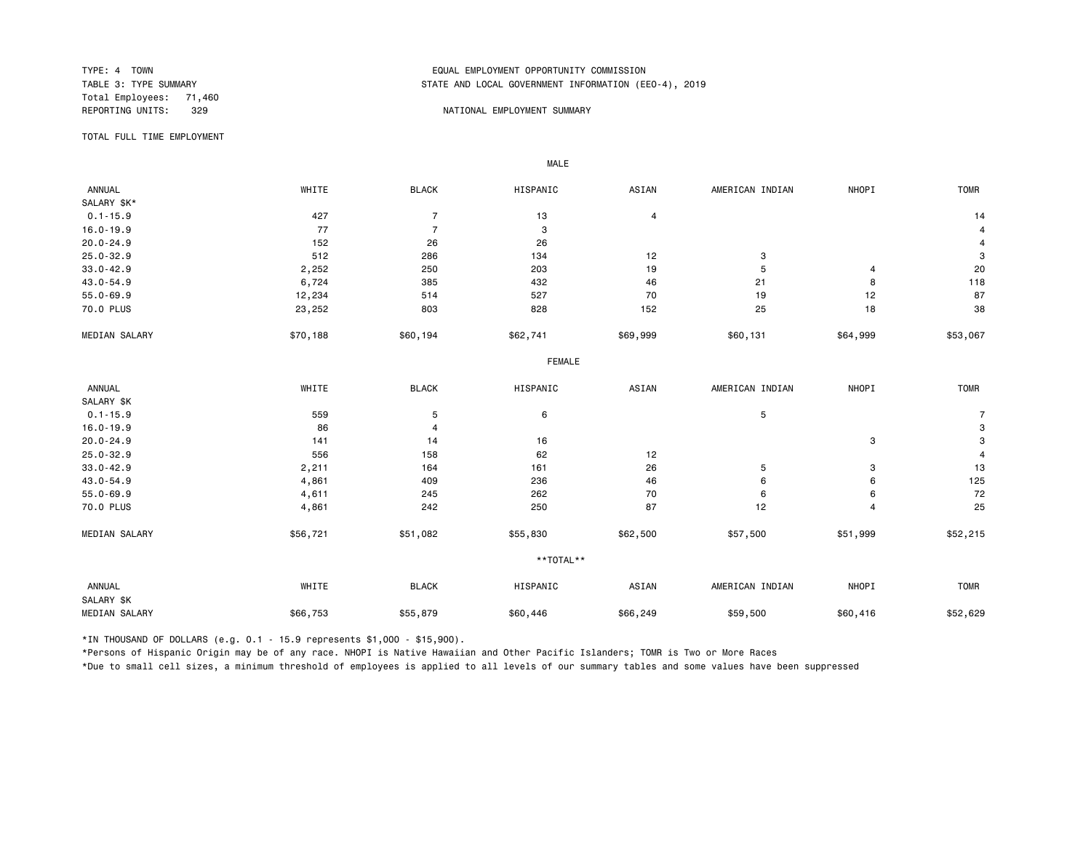Total Employees: 71,460<br>REPORTING UNITS: 329

# TYPE: 4 TOWN<br>TABLE 3: TYPE SUMMARY TABLE ON TABLE 3: TYPE SUMMARY TABLE 3: TYPE SUMMARY STATE AND LOCAL GOVERNMENT INFORMATION (EEO-4), 2019

### REPORT OF STREET IN THE SERVICE OF STREET IN A STREET IN THE SUMMARY SUMMARY

TOTAL FULL TIME EMPLOYMENT

 ANNUAL WHITE BLACK HISPANIC ASIAN AMERICAN INDIAN NHOPI TOMR SALARY \$K\*<br>0.1-15.9  $0.1-15.9$  and  $427$  and  $7$  13 and  $4$  14 and  $14$  14 and  $14$ 16.0-19.9 77 7 3 4 20.0-24.9 152 26 26 4 25.0-32.9 512 286 134 12 3 3 33.0-42.9 2,252 250 203 19 5 4 20 43.0-54.9 6,724 385 432 46 21 8 118 55.0-69.9 12,234 514 527 70 19 12 87 70.0 PLUS 23,252 803 828 152 25 18 38 MEDIAN SALARY \$50,188 \$60,194 \$62,741 \$69,999 \$60,131 \$64,999 \$53,067 FEMALE **FRAME**  ANNUAL WHITE BLACK HISPANIC ASIAN AMERICAN INDIAN NHOPI TOMR SALARY \$K<br>0.1-15.9 0.1-15.9 559 5 6 5 7 16.0-19.9 86 4 3 20.0-24.9 141 14 16 3 3 25.0-32.9 556 158 62 12 4 33.0-42.9 2,211 164 161 26 5 3 13 43.0-54.9 4,861 409 236 46 6 125 55.0-69.9 4,611 245 262 70 6 6 72 70.0 PLUS 4,861 242 250 87 12 4 25 MEDIAN SALARY \$56,721 \$51,082 \$55,830 \$62,500 \$57,500 \$51,999 \$52,215 \*\*TOTAL\*\* ANNUAL WHITE BLACK HISPANIC ASIAN AMERICAN INDIAN NHOPI TOMR SALARY \$K MEDIAN SALARY \$66,753 \$55,879 \$60,446 \$59,500 \$60,416 \$52,629

\*IN THOUSAND OF DOLLARS (e.g. 0.1 - 15.9 represents \$1,000 - \$15,900).

MALE

\*Persons of Hispanic Origin may be of any race. NHOPI is Native Hawaiian and Other Pacific Islanders; TOMR is Two or More Races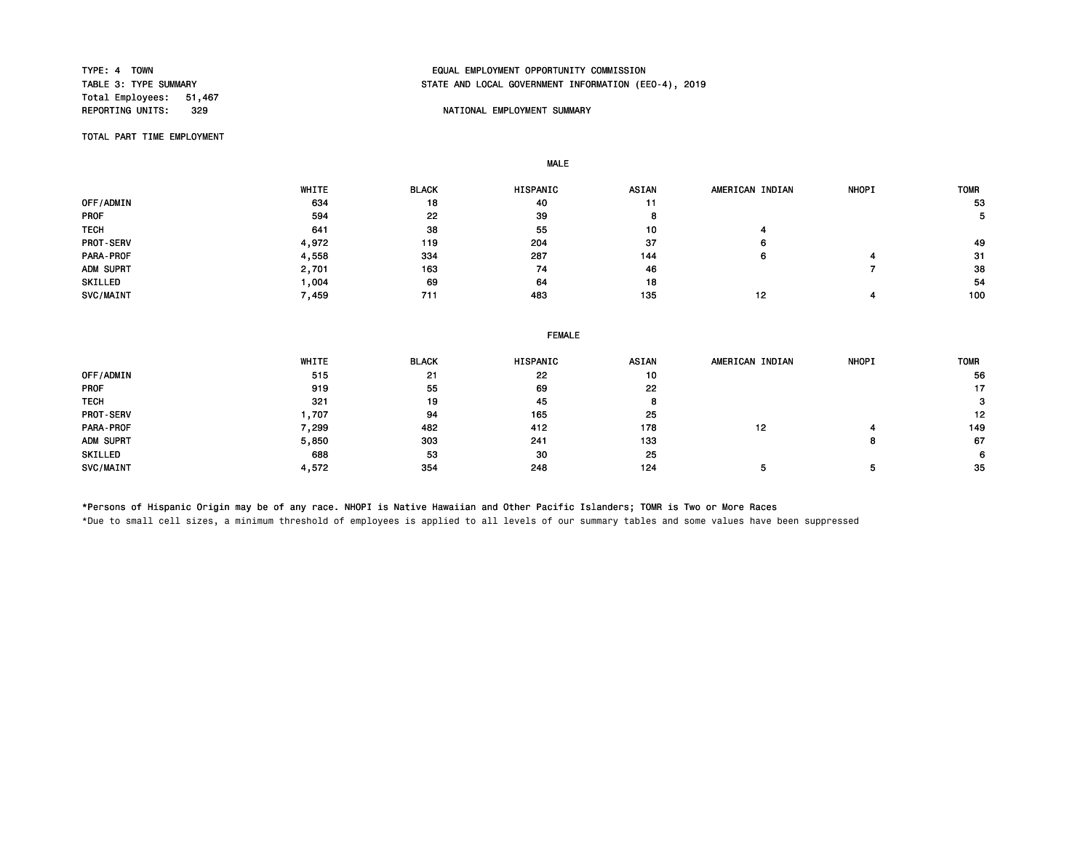Total Employees: 51,467<br>REPORTING UNITS: 329

# TYPE: 4 TOWN EQUAL EMPLOYMENT OPPORTUNITY COMMISSION STATE AND LOCAL GOVERNMENT INFORMATION (EEO-4), 2019

## NATIONAL EMPLOYMENT SUMMARY

TOTAL PART TIME EMPLOYMENT

MALE

|                  | WHITE | <b>BLACK</b> | <b>HISPANIC</b> | <b>ASIAN</b> | AMERICAN INDIAN | <b>NHOPI</b> | <b>TOMR</b> |
|------------------|-------|--------------|-----------------|--------------|-----------------|--------------|-------------|
| OFF/ADMIN        | 634   | 18           | 40              | 11           |                 |              | 53          |
| <b>PROF</b>      | 594   | 22           | 39              |              |                 |              |             |
| <b>TECH</b>      | 641   | 38           | 55              | 10           |                 |              |             |
| <b>PROT-SERV</b> | 4,972 | 119          | 204             | 37           | 6               |              | 49          |
| <b>PARA-PROF</b> | 4,558 | 334          | 287             | 144          | 6               |              | -31         |
| ADM SUPRT        | 2,701 | 163          | 74              | 46           |                 |              | 38          |
| SKILLED          | .004  | 69           | 64              | 18           |                 |              | 54          |
| SVC/MAINT        | 7,459 | 711          | 483             | 135          | 12              |              | 100         |

| WHITE | <b>BLACK</b> | HISPANIC | ASIAN         | AMERICAN INDIAN | <b>NHOPI</b> | <b>TOMR</b> |  |  |
|-------|--------------|----------|---------------|-----------------|--------------|-------------|--|--|
| 515   | 21           | 22       | 10            |                 |              | 56          |  |  |
| 919   | 55           | 69       | 22            |                 |              | 17          |  |  |
| 321   | 19           | 45       | 8             |                 |              | з           |  |  |
| 707.  | 94           | 165      | 25            |                 |              | 12          |  |  |
| 7,299 | 482          | 412      | 178           | 12              |              | 149         |  |  |
| 5,850 | 303          | 241      | 133           |                 | 8            | 67          |  |  |
| 688   | 53           | 30       | 25            |                 |              | 6           |  |  |
| 4,572 | 354          | 248      | 124           |                 |              | -35         |  |  |
|       |              |          | <b>FEMALE</b> |                 |              |             |  |  |

\*Persons of Hispanic Origin may be of any race. NHOPI is Native Hawaiian and Other Pacific Islanders; TOMR is Two or More Races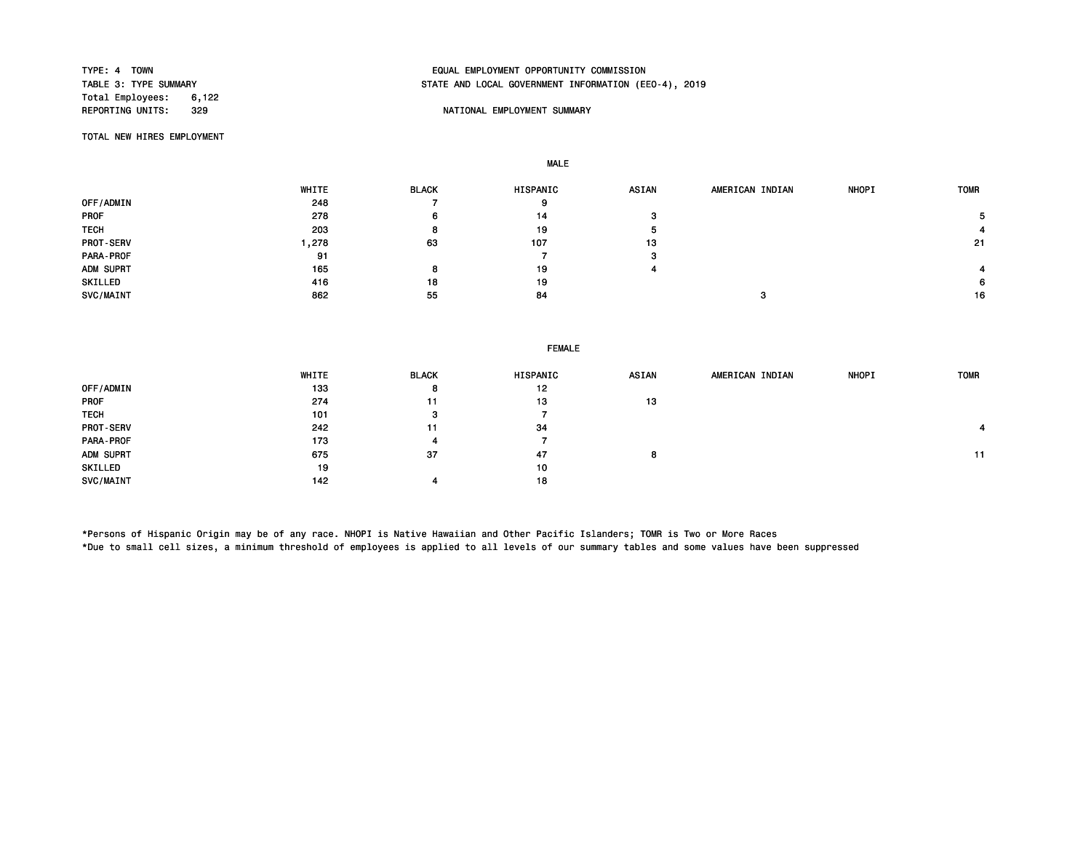Total Employees: 6,122

# TYPE: 4 TOWN EQUAL EMPLOYMENT OPPORTUNITY COMMISSION STATE AND LOCAL GOVERNMENT INFORMATION (EEO-4), 2019

## REPORTING UNITS: STATE OF THE SERVICE OF THE SUMMARY SUMMARY SUMMARY

TOTAL NEW HIRES EMPLOYMENT

MALE

|                  | WHITE | <b>BLACK</b> | HISPANIC | <b>ASIAN</b> | AMERICAN INDIAN | <b>NHOPI</b> | <b>TOMR</b> |
|------------------|-------|--------------|----------|--------------|-----------------|--------------|-------------|
| OFF/ADMIN        | 248   |              | 9        |              |                 |              |             |
| <b>PROF</b>      | 278   | 6            | 14       | з            |                 |              |             |
| <b>TECH</b>      | 203   | 8            | 19       | л            |                 |              |             |
| <b>PROT-SERV</b> | ,278  | 63           | 107      | 13           |                 |              | -21         |
| PARA-PROF        | 91    |              |          | з            |                 |              |             |
| ADM SUPRT        | 165   | 8            | 19       |              |                 |              |             |
| SKILLED          | 416   | 18           | 19       |              |                 |              | 6           |
| SVC/MAINT        | 862   | 55           | 84       |              | э               |              | 16          |

|                  | WHITE | <b>BLACK</b> | HISPANIC | <b>ASIAN</b> | AMERICAN INDIAN | NHOPI | <b>TOMR</b> |
|------------------|-------|--------------|----------|--------------|-----------------|-------|-------------|
| OFF/ADMIN        | 133   | 8            | 12       |              |                 |       |             |
| <b>PROF</b>      | 274   | 11           | 13       | 13           |                 |       |             |
| <b>TECH</b>      | 101   | ≏<br>-0      |          |              |                 |       |             |
| <b>PROT-SERV</b> | 242   | 11           | 34       |              |                 |       |             |
| PARA-PROF        | 173   | 4            |          |              |                 |       |             |
| ADM SUPRT        | 675   | 37           | 47       | 8            |                 |       | 11          |
| SKILLED          | 19    |              | 10       |              |                 |       |             |
| SVC/MAINT        | 142   |              | 18       |              |                 |       |             |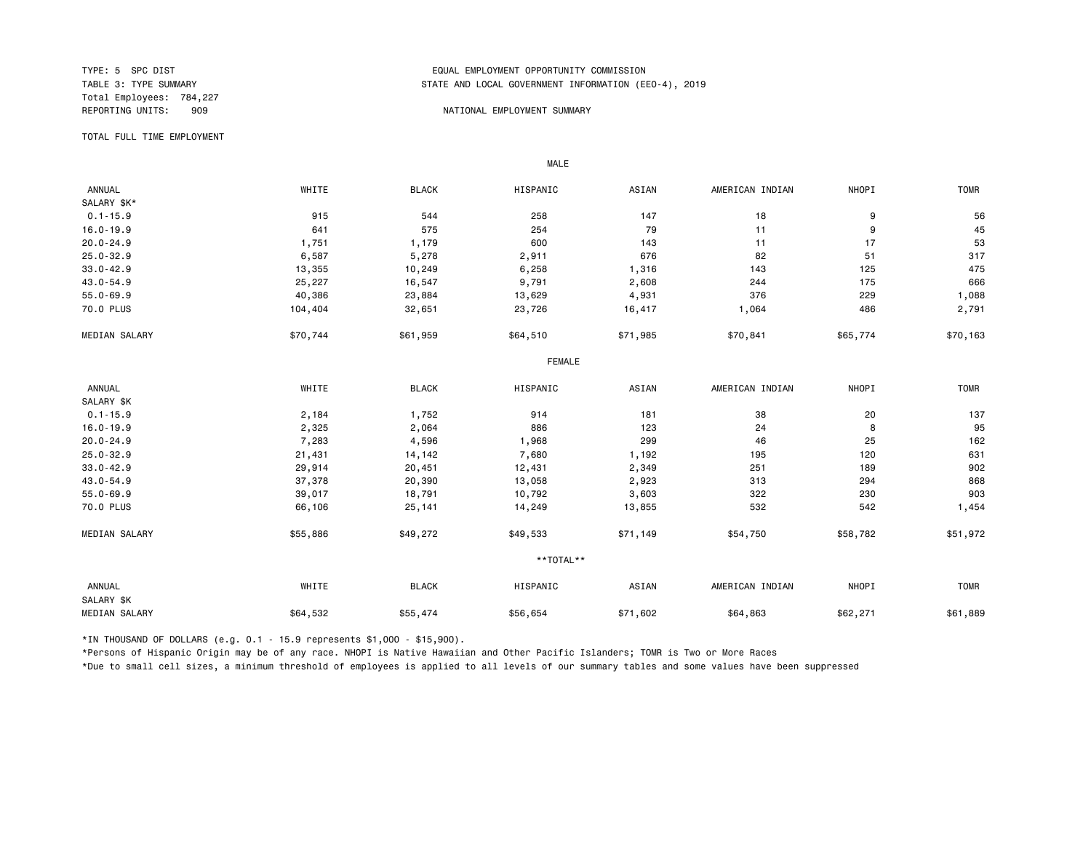Total Employees: 784,227

## TYPE: 5 SPC DIST<br>TABLE 3: TYPE SUMMARY TABLE AND LOCAL GOVERNMENT INFORMATION (EDUAL TABLE 3: TYPE SUMMARY STATE AND LOCAL GOVERNMENT INFORMATION (EEO-4), 2019

#### 909 NATIONAL EMPLOYMENT SUMMARY

TOTAL FULL TIME EMPLOYMENT

 ANNUAL WHITE BLACK HISPANIC ASIAN AMERICAN INDIAN NHOPI TOMR SALARY \$K\*<br>0.1-15.9 0.1-15.9 915 544 258 147 18 9 56 16.0-19.9 641 575 254 79 11 9 45 20.0-24.9 1,751 1,179 600 143 11 17 53 25.0-32.9 6,587 5,278 2,911 676 82 51 317 33.0-42.9 13,355 10,249 6,258 1,316 143 125 475 43.0-54.9 25,227 16,547 9,791 2,608 244 175 666 55.0-69.9 40,386 23,884 13,629 4,931 376 229 1,088 70.0 PLUS 104,404 32,651 23,726 16,417 1,064 486 2,791 MEDIAN SALARY \$70,744 \$61,959 \$64,510 \$71,985 \$70,841 \$55,774 \$70,163 FEMALE **FRAME**  ANNUAL WHITE BLACK HISPANIC ASIAN AMERICAN INDIAN NHOPI TOMR SALARY \$K<br>0.1-15.9 0.1-15.9 2,184 1,752 914 181 38 20 137 16.0-19.9 2,325 2,064 886 123 24 8 95 20.0-24.9 7,283 4,596 1,968 299 46 25 162 25.0-32.9 21,431 14,142 7,680 1,192 195 120 631 33.0-42.9 29,914 20,451 12,431 2,349 189 902 43.0-54.9 37,378 20,390 13,058 2,923 313 294 868 55.0-69.9 39,017 18,791 10,792 3,603 322 230 903 70.0 PLUS 66,106 25,141 14,249 13,855 532 542 1,454 MEDIAN SALARY \$55,886 \$49,272 \$49,533 \$71,149 \$54,750 \$58,782 \$51,972 \*\*TOTAL\*\* ANNUAL WHITE BLACK HISPANIC ASIAN AMERICAN INDIAN NHOPI TOMR SALARY \$K MEDIAN SALARY \$64,532 \$55,474 \$56,654 \$64,863 \$62,271 \$61,889

\*IN THOUSAND OF DOLLARS (e.g. 0.1 - 15.9 represents \$1,000 - \$15,900).

MALE

\*Persons of Hispanic Origin may be of any race. NHOPI is Native Hawaiian and Other Pacific Islanders; TOMR is Two or More Races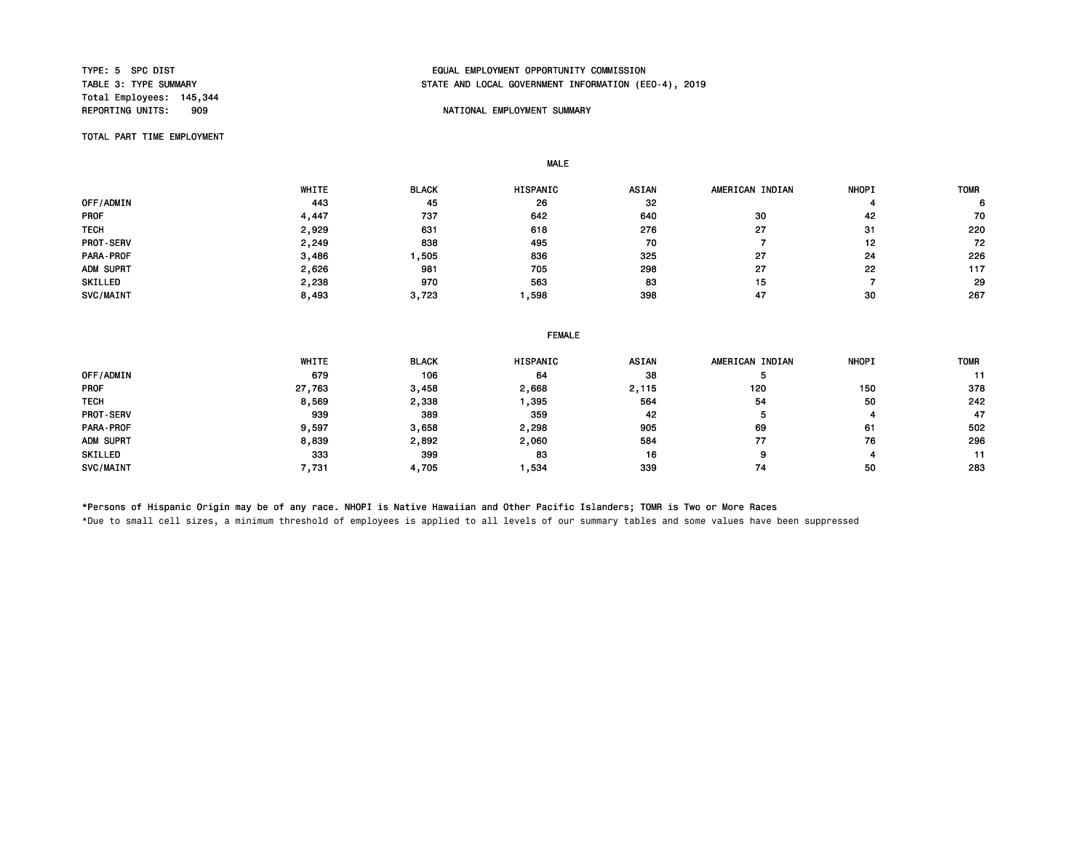Total Employees: 145,344

# TYPE: 5 SPC DIST EQUAL EMPLOYMENT OPPORTUNITY COMMISSION STATE AND LOCAL GOVERNMENT INFORMATION (EEO-4), 2019

## NATIONAL EMPLOYMENT SUMMARY

TOTAL PART TIME EMPLOYMENT

MALE

|             | WHITE | <b>BLACK</b> | <b>HISPANIC</b> | <b>ASIAN</b> | AMERICAN INDIAN | <b>NHOPI</b> | <b>TOMR</b> |
|-------------|-------|--------------|-----------------|--------------|-----------------|--------------|-------------|
| OFF/ADMIN   | 443   | 45           | 26              | 32           |                 |              | 6.          |
| <b>PROF</b> | , 447 | 737          | 642             | 640          | 30              | 42           | 70          |
| <b>TECH</b> | 2,929 | 631          | 618             | 276          | 27              | 31           | 220         |
| PROT-SERV   | 2,249 | 838          | 495             | 70           |                 | 12           | 72          |
| PARA-PROF   | 3,486 | .505         | 836             | 325          | 27              | 24           | 226         |
| ADM SUPRT   | 2,626 | 981          | 705             | 298          | 27              | 22           | 117         |
| SKILLED     | 2,238 | 970          | 563             | 83           | 15              |              | 29          |
| SVC/MAINT   | 8,493 | 3,723        | ,598            | 398          | 47              | 30           | 267         |

|  | <b>FEMALE</b><br>------- |
|--|--------------------------|
|  |                          |

|             | WHITE  | <b>BLACK</b> | <b>HISPANIC</b> | <b>ASIAN</b> | AMERICAN INDIAN | <b>NHOPI</b> | <b>TOMR</b> |
|-------------|--------|--------------|-----------------|--------------|-----------------|--------------|-------------|
| OFF/ADMIN   | 679    | 106          | 64              | 38           |                 |              |             |
| <b>PROF</b> | 27,763 | 3,458        | 2,668           | 2,115        | 120             | 150          | 378         |
| <b>TECH</b> | 8,569  | 2,338        | ,395            | 564          | 54              | 50           | 242         |
| PROT-SERV   | 939    | 389          | 359             | 42           | ь               |              | 47          |
| PARA-PROF   | 9,597  | 3,658        | 2,298           | 905          | 69              | 61           | 502         |
| ADM SUPRT   | 8,839  | 2,892        | 2,060           | 584          | 77              | 76           | 296         |
| SKILLED     | 333    | 399          | 83              | 16           | 9               |              | 11          |
| SVC/MAINT   | 7,731  | 4,705        | ,534            | 339          | 74              | 50           | 283         |

\*Persons of Hispanic Origin may be of any race. NHOPI is Native Hawaiian and Other Pacific Islanders; TOMR is Two or More Races